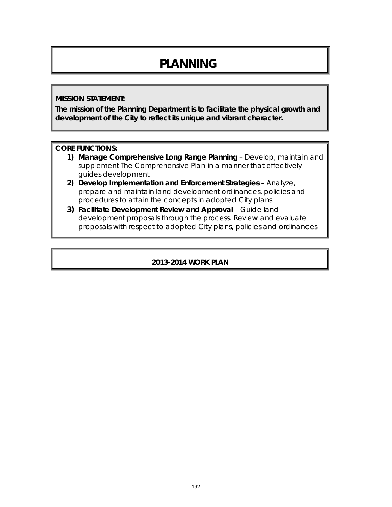# **PLANNING**

#### **MISSION STATEMENT:**

**The mission of the Planning Department is to facilitate the physical growth and development of the City to reflect its unique and vibrant character.**

#### **CORE FUNCTIONS:**

- **1) Manage Comprehensive Long Range Planning** Develop, maintain and supplement *The Comprehensive Plan* in a manner that effectively guides development
- **2) Develop Implementation and Enforcement Strategies –** Analyze, prepare and maintain land development ordinances, policies and procedures to attain the concepts in adopted City plans
- **3) Facilitate Development Review and Approval** Guide land development proposals through the process. Review and evaluate proposals with respect to adopted City plans, policies and ordinances

#### **2013-2014 WORK PLAN**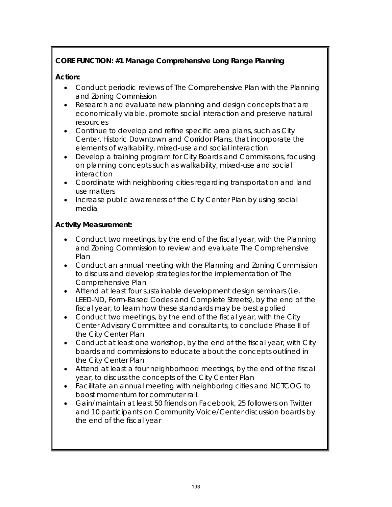## **CORE FUNCTION: #1 Manage Comprehensive Long Range Planning**

### **Action:**

- Conduct periodic reviews of The Comprehensive Plan with the Planning and Zoning Commission
- Research and evaluate new planning and design concepts that are economically viable, promote social interaction and preserve natural resources
- Continue to develop and refine specific area plans, such as City Center, Historic Downtown and Corridor Plans, that incorporate the elements of walkability, mixed-use and social interaction
- Develop a training program for City Boards and Commissions, focusing on planning concepts such as walkability, mixed-use and social interaction
- Coordinate with neighboring cities regarding transportation and land use matters
- Increase public awareness of the City Center Plan by using social media

### **Activity Measurement:**

- Conduct two meetings, by the end of the fiscal year, with the Planning and Zoning Commission to review and evaluate *The Comprehensive Plan*
- Conduct an annual meeting with the Planning and Zoning Commission to discuss and develop strategies for the implementation of *The Comprehensive Plan*
- Attend at least four sustainable development design seminars (i.e. LEED-ND, Form-Based Codes and Complete Streets), by the end of the fiscal year, to learn how these standards may be best applied
- Conduct two meetings, by the end of the fiscal year, with the City Center Advisory Committee and consultants, to conclude Phase II of the City Center Plan
- Conduct at least one workshop, by the end of the fiscal year, with City boards and commissions to educate about the concepts outlined in the City Center Plan
- Attend at least a four neighborhood meetings, by the end of the fiscal year, to discuss the concepts of the City Center Plan
- Facilitate an annual meeting with neighboring cities and NCTCOG to boost momentum for commuter rail.
- Gain/maintain at least 50 friends on *Facebook,* 25 followers on *Twitter* and 10 participants on Community Voice/Center discussion boards by the end of the fiscal year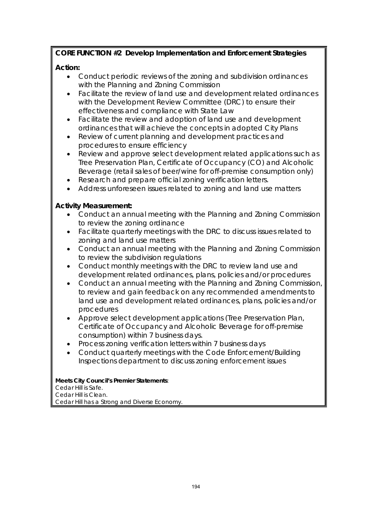## **CORE FUNCTION #2 Develop Implementation and Enforcement Strategies**

#### **Action:**

- Conduct periodic reviews of the zoning and subdivision ordinances with the Planning and Zoning Commission
- Facilitate the review of land use and development related ordinances with the Development Review Committee (DRC) to ensure their effectiveness and compliance with State Law
- Facilitate the review and adoption of land use and development ordinances that will achieve the concepts in adopted City Plans
- Review of current planning and development practices and procedures to ensure efficiency
- Review and approve select development related applications such as Tree Preservation Plan, Certificate of Occupancy (CO) and Alcoholic Beverage (retail sales of beer/wine for off-premise consumption only)
- Research and prepare official zoning verification letters.
- Address unforeseen issues related to zoning and land use matters

#### **Activity Measurement:**

- Conduct an annual meeting with the Planning and Zoning Commission to review the zoning ordinance
- Facilitate quarterly meetings with the DRC to discuss issues related to zoning and land use matters
- Conduct an annual meeting with the Planning and Zoning Commission to review the subdivision regulations
- Conduct monthly meetings with the DRC to review land use and development related ordinances, plans, policies and/or procedures
- Conduct an annual meeting with the Planning and Zoning Commission, to review and gain feedback on any recommended amendments to land use and development related ordinances, plans, policies and/or procedures
- Approve select development applications (Tree Preservation Plan, Certificate of Occupancy and Alcoholic Beverage for off-premise consumption) within 7 business days.
- Process zoning verification letters within 7 business days
- Conduct quarterly meetings with the Code Enforcement/Building Inspections department to discuss zoning enforcement issues

**Meets City Council's Premier Statements**: Cedar Hill is Safe. Cedar Hill is Clean. Cedar Hill has a Strong and Diverse Economy.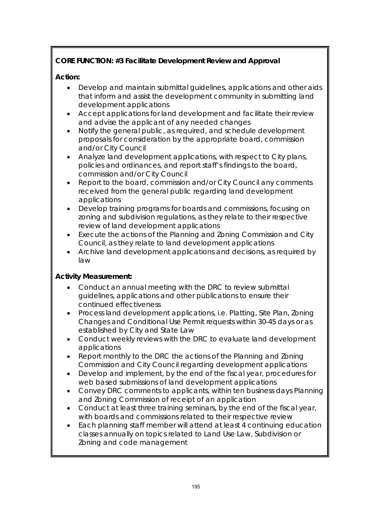## **CORE FUNCTION: #3 Facilitate Development Review and Approval**

## **Action:**

- Develop and maintain submittal guidelines, applications and other aids that inform and assist the development community in submitting land development applications
- Accept applications for land development and facilitate their review and advise the applicant of any needed changes
- Notify the general public, as required, and schedule development proposals for consideration by the appropriate board, commission and/or City Council
- Analyze land development applications, with respect to City plans, policies and ordinances, and report staff's findings to the board, commission and/or City Council
- Report to the board, commission and/or City Council any comments received from the general public regarding land development applications
- Develop training programs for boards and commissions, focusing on zoning and subdivision regulations, as they relate to their respective review of land development applications
- Execute the actions of the Planning and Zoning Commission and City Council, as they relate to land development applications
- Archive land development applications and decisions, as required by law

### **Activity Measurement:**

- Conduct an annual meeting with the DRC to review submittal guidelines, applications and other publications to ensure their continued effectiveness
- Process land development applications, i.e. Platting, Site Plan, Zoning Changes and Conditional Use Permit requests within 30-45 days or as established by City and State Law
- Conduct weekly reviews with the DRC to evaluate land development applications
- Report monthly to the DRC the actions of the Planning and Zoning Commission and City Council regarding development applications
- Develop and implement, by the end of the fiscal year, procedures for web based submissions of land development applications
- Convey DRC comments to applicants, within ten business days Planning and Zoning Commission of receipt of an application
- Conduct at least three training seminars, by the end of the fiscal year, with boards and commissions related to their respective review
- Each planning staff member will attend at least 4 continuing education classes annually on topics related to Land Use Law, Subdivision or Zoning and code management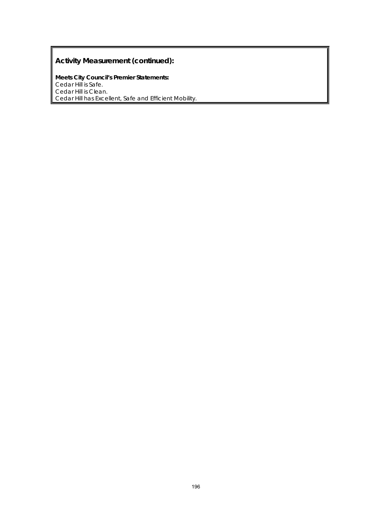## **Activity Measurement (continued):**

**Meets City Council's Premier Statements:**  Cedar Hill is Safe. Cedar Hill is Clean. Cedar Hill has Excellent, Safe and Efficient Mobility.